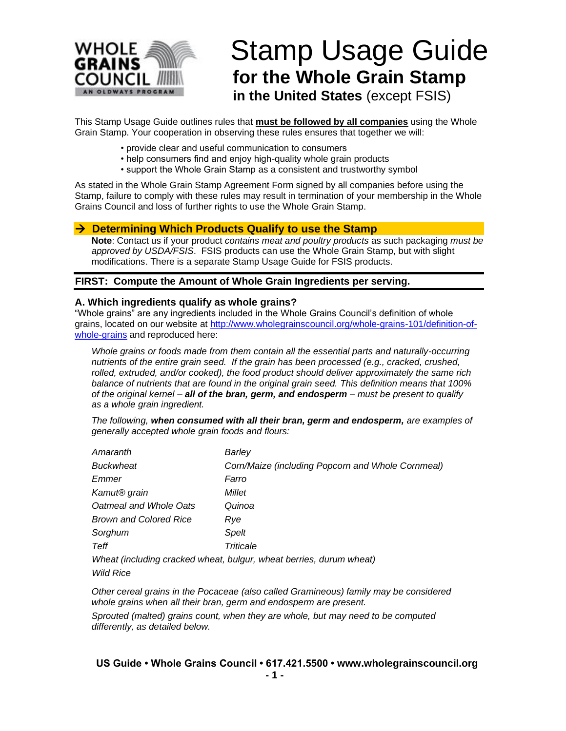

# Stamp Usage Guide **for the Whole Grain Stamp in the United States** (except FSIS)

This Stamp Usage Guide outlines rules that **must be followed by all companies** using the Whole Grain Stamp. Your cooperation in observing these rules ensures that together we will:

- provide clear and useful communication to consumers
- help consumers find and enjoy high-quality whole grain products
- support the Whole Grain Stamp as a consistent and trustworthy symbol

As stated in the Whole Grain Stamp Agreement Form signed by all companies before using the Stamp, failure to comply with these rules may result in termination of your membership in the Whole Grains Council and loss of further rights to use the Whole Grain Stamp.

### → **Determining Which Products Qualify to use the Stamp**

**Note**: Contact us if your product *contains meat and poultry products* as such packaging *must be approved by USDA/FSIS*. FSIS products can use the Whole Grain Stamp, but with slight modifications. There is a separate Stamp Usage Guide for FSIS products.

### **FIRST: Compute the Amount of Whole Grain Ingredients per serving.**

### **A. Which ingredients qualify as whole grains?**

"Whole grains" are any ingredients included in the Whole Grains Council's definition of whole grains, located on our website at [http://www.wholegrainscouncil.org/whole-grains-101/definition-of](http://www.wholegrainscouncil.org/whole-grains-101/definition-of-whole-grains)[whole-grains](http://www.wholegrainscouncil.org/whole-grains-101/definition-of-whole-grains) and reproduced here:

*Whole grains or foods made from them contain all the essential parts and naturally-occurring nutrients of the entire grain seed. If the grain has been processed (e.g., cracked, crushed, rolled, extruded, and/or cooked), the food product should deliver approximately the same rich balance of nutrients that are found in the original grain seed. This definition means that 100% of the original kernel – all of the bran, germ, and endosperm – must be present to qualify as a whole grain ingredient.*

*The following, when consumed with all their bran, germ and endosperm, are examples of generally accepted whole grain foods and flours:* 

| Amaranth                      | Barley                                                              |
|-------------------------------|---------------------------------------------------------------------|
| <b>Buckwheat</b>              | Corn/Maize (including Popcorn and Whole Cornmeal)                   |
| Emmer                         | Farro                                                               |
| Kamut <sup>®</sup> grain      | Millet                                                              |
| Oatmeal and Whole Oats        | Quinoa                                                              |
| <b>Brown and Colored Rice</b> | Rve                                                                 |
| Sorghum                       | Spelt                                                               |
| Teff                          | Triticale                                                           |
|                               | Wheat (including cracked wheat, bulgur, wheat berries, durum wheat) |

*Wild Rice*

*Other cereal grains in the Pocaceae (also called Gramineous) family may be considered whole grains when all their bran, germ and endosperm are present.*

*Sprouted (malted) grains count, when they are whole, but may need to be computed differently, as detailed below.*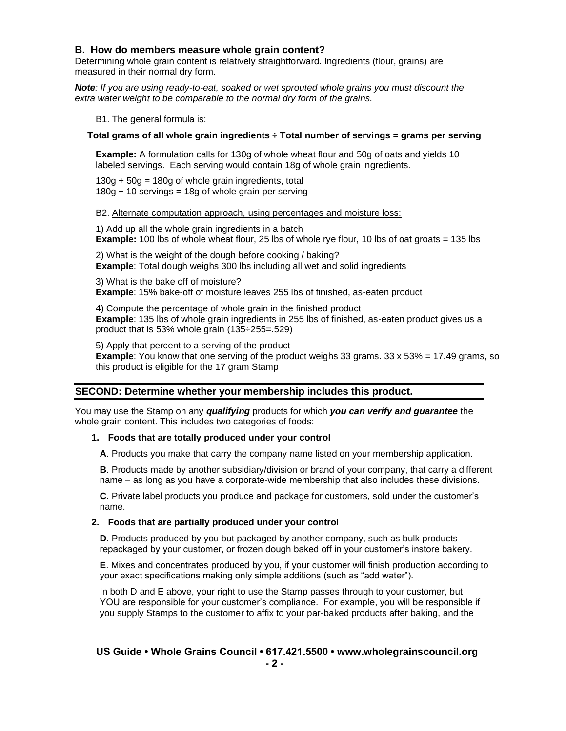### **B. How do members measure whole grain content?**

Determining whole grain content is relatively straightforward. Ingredients (flour, grains) are measured in their normal dry form.

*Note: If you are using ready-to-eat, soaked or wet sprouted whole grains you must discount the extra water weight to be comparable to the normal dry form of the grains.*

B1. The general formula is:

### **Total grams of all whole grain ingredients ÷ Total number of servings = grams per serving**

**Example:** A formulation calls for 130g of whole wheat flour and 50g of oats and yields 10 labeled servings. Each serving would contain 18g of whole grain ingredients.

 $130g + 50g = 180g$  of whole grain ingredients, total  $180q \div 10$  servings = 18g of whole grain per serving

#### B2. Alternate computation approach, using percentages and moisture loss:

1) Add up all the whole grain ingredients in a batch **Example:** 100 lbs of whole wheat flour, 25 lbs of whole rye flour, 10 lbs of oat groats = 135 lbs

2) What is the weight of the dough before cooking / baking? **Example**: Total dough weighs 300 lbs including all wet and solid ingredients

3) What is the bake off of moisture? **Example**: 15% bake-off of moisture leaves 255 lbs of finished, as-eaten product

4) Compute the percentage of whole grain in the finished product **Example**: 135 lbs of whole grain ingredients in 255 lbs of finished, as-eaten product gives us a product that is 53% whole grain (135÷255=.529)

5) Apply that percent to a serving of the product **Example**: You know that one serving of the product weighs 33 grams. 33 x 53% = 17.49 grams, so this product is eligible for the 17 gram Stamp

### **SECOND: Determine whether your membership includes this product.**

You may use the Stamp on any *qualifying* products for which *you can verify and guarantee* the whole grain content. This includes two categories of foods:

#### **1. Foods that are totally produced under your control**

**A**. Products you make that carry the company name listed on your membership application.

**B**. Products made by another subsidiary/division or brand of your company, that carry a different name – as long as you have a corporate-wide membership that also includes these divisions.

**C**. Private label products you produce and package for customers, sold under the customer's name.

### **2. Foods that are partially produced under your control**

**D**. Products produced by you but packaged by another company, such as bulk products repackaged by your customer, or frozen dough baked off in your customer's instore bakery.

**E**. Mixes and concentrates produced by you, if your customer will finish production according to your exact specifications making only simple additions (such as "add water").

In both D and E above, your right to use the Stamp passes through to your customer, but YOU are responsible for your customer's compliance. For example, you will be responsible if you supply Stamps to the customer to affix to your par-baked products after baking, and the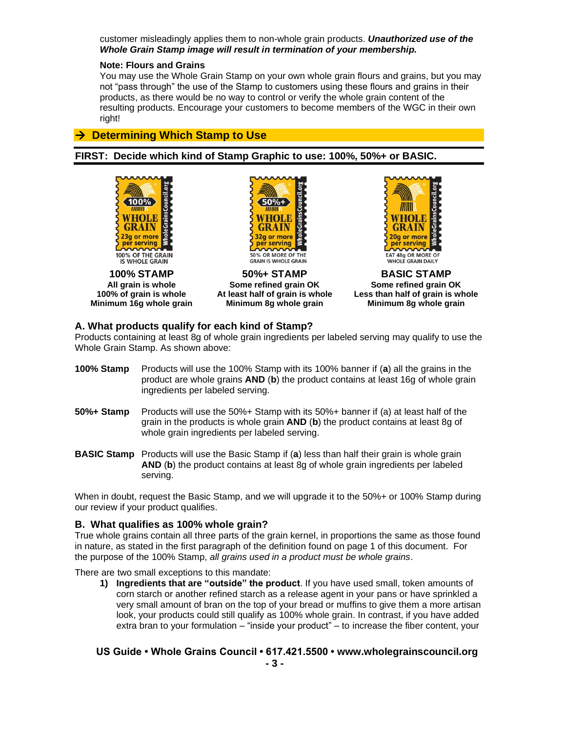customer misleadingly applies them to non-whole grain products. *Unauthorized use of the Whole Grain Stamp image will result in termination of your membership.*

### **Note: Flours and Grains**

You may use the Whole Grain Stamp on your own whole grain flours and grains, but you may not "pass through" the use of the Stamp to customers using these flours and grains in their products, as there would be no way to control or verify the whole grain content of the resulting products. Encourage your customers to become members of the WGC in their own right!

## → **Determining Which Stamp to Use**

**FIRST: Decide which kind of Stamp Graphic to use: 100%, 50%+ or BASIC.**





**100% STAMP 50%+ STAMP BASIC STAMP All grain is whole Some refined grain OK Some refined grain OK Minimum 16g whole grain Minimum 8g whole grain Minimum 8g whole grain**



**100% of grain is whole At least half of grain is whole Less than half of grain is whole**

### **A. What products qualify for each kind of Stamp?**

Products containing at least 8g of whole grain ingredients per labeled serving may qualify to use the Whole Grain Stamp. As shown above:

| <b>100% Stamp</b> Products will use the 100% Stamp with its 100% banner if (a) all the grains in the |
|------------------------------------------------------------------------------------------------------|
| product are whole grains AND (b) the product contains at least 16g of whole grain                    |
| ingredients per labeled serving.                                                                     |

- **50%+ Stamp** Products will use the 50%+ Stamp with its 50%+ banner if (a) at least half of the grain in the products is whole grain **AND** (**b**) the product contains at least 8g of whole grain ingredients per labeled serving.
- **BASIC Stamp** Products will use the Basic Stamp if (**a**) less than half their grain is whole grain **AND** (**b**) the product contains at least 8g of whole grain ingredients per labeled serving.

When in doubt, request the Basic Stamp, and we will upgrade it to the 50%+ or 100% Stamp during our review if your product qualifies.

### **B. What qualifies as 100% whole grain?**

True whole grains contain all three parts of the grain kernel, in proportions the same as those found in nature, as stated in the first paragraph of the definition found on page 1 of this document. For the purpose of the 100% Stamp, *all grains used in a product must be whole grains*.

There are two small exceptions to this mandate:

**1) Ingredients that are "outside" the product**. If you have used small, token amounts of corn starch or another refined starch as a release agent in your pans or have sprinkled a very small amount of bran on the top of your bread or muffins to give them a more artisan look, your products could still qualify as 100% whole grain. In contrast, if you have added extra bran to your formulation – "inside your product" – to increase the fiber content, your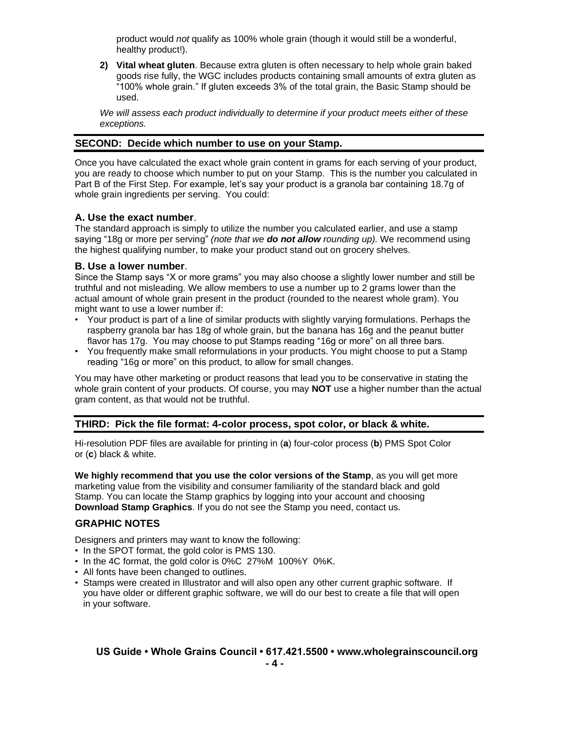product would *not* qualify as 100% whole grain (though it would still be a wonderful, healthy product!).

**2) Vital wheat gluten**. Because extra gluten is often necessary to help whole grain baked goods rise fully, the WGC includes products containing small amounts of extra gluten as "100% whole grain." If gluten exceeds 3% of the total grain, the Basic Stamp should be used.

*We will assess each product individually to determine if your product meets either of these exceptions.*

### **SECOND: Decide which number to use on your Stamp.**

Once you have calculated the exact whole grain content in grams for each serving of your product, you are ready to choose which number to put on your Stamp. This is the number you calculated in Part B of the First Step. For example, let's say your product is a granola bar containing 18.7g of whole grain ingredients per serving. You could:

### **A. Use the exact number**.

The standard approach is simply to utilize the number you calculated earlier, and use a stamp saying "18g or more per serving" *(note that we do not allow rounding up).* We recommend using the highest qualifying number, to make your product stand out on grocery shelves.

### **B. Use a lower number**.

Since the Stamp says "X or more grams" you may also choose a slightly lower number and still be truthful and not misleading. We allow members to use a number up to 2 grams lower than the actual amount of whole grain present in the product (rounded to the nearest whole gram). You might want to use a lower number if:

- Your product is part of a line of similar products with slightly varying formulations. Perhaps the raspberry granola bar has 18g of whole grain, but the banana has 16g and the peanut butter flavor has 17g. You may choose to put Stamps reading "16g or more" on all three bars.
- You frequently make small reformulations in your products. You might choose to put a Stamp reading "16g or more" on this product, to allow for small changes.

You may have other marketing or product reasons that lead you to be conservative in stating the whole grain content of your products. Of course, you may **NOT** use a higher number than the actual gram content, as that would not be truthful.

### **THIRD: Pick the file format: 4-color process, spot color, or black & white.**

Hi-resolution PDF files are available for printing in (**a**) four-color process (**b**) PMS Spot Color or (**c**) black & white.

**We highly recommend that you use the color versions of the Stamp**, as you will get more marketing value from the visibility and consumer familiarity of the standard black and gold Stamp. You can locate the Stamp graphics by logging into your account and choosing **Download Stamp Graphics**. If you do not see the Stamp you need, contact us.

### **GRAPHIC NOTES**

Designers and printers may want to know the following:

- In the SPOT format, the gold color is PMS 130.
- In the 4C format, the gold color is 0%C 27%M 100%Y 0%K.
- All fonts have been changed to outlines.
- Stamps were created in Illustrator and will also open any other current graphic software. If you have older or different graphic software, we will do our best to create a file that will open in your software.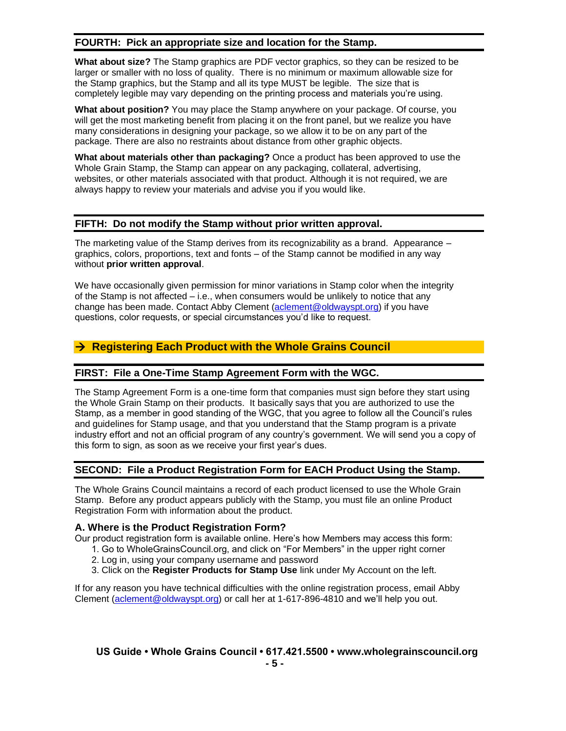## **FOURTH: Pick an appropriate size and location for the Stamp.**

**What about size?** The Stamp graphics are PDF vector graphics, so they can be resized to be larger or smaller with no loss of quality. There is no minimum or maximum allowable size for the Stamp graphics, but the Stamp and all its type MUST be legible. The size that is completely legible may vary depending on the printing process and materials you're using.

**What about position?** You may place the Stamp anywhere on your package. Of course, you will get the most marketing benefit from placing it on the front panel, but we realize you have many considerations in designing your package, so we allow it to be on any part of the package. There are also no restraints about distance from other graphic objects.

**What about materials other than packaging?** Once a product has been approved to use the Whole Grain Stamp, the Stamp can appear on any packaging, collateral, advertising, websites, or other materials associated with that product. Although it is not required, we are always happy to review your materials and advise you if you would like.

## **FIFTH: Do not modify the Stamp without prior written approval.**

The marketing value of the Stamp derives from its recognizability as a brand. Appearance – graphics, colors, proportions, text and fonts – of the Stamp cannot be modified in any way without **prior written approval**.

We have occasionally given permission for minor variations in Stamp color when the integrity of the Stamp is not affected – i.e., when consumers would be unlikely to notice that any change has been made. Contact Abby Clement [\(aclement@oldwayspt.org\)](mailto:aclement@oldwayspt.org) if you have questions, color requests, or special circumstances you'd like to request.

## → **Registering Each Product with the Whole Grains Council**

### **FIRST: File a One-Time Stamp Agreement Form with the WGC.**

The Stamp Agreement Form is a one-time form that companies must sign before they start using the Whole Grain Stamp on their products. It basically says that you are authorized to use the Stamp, as a member in good standing of the WGC, that you agree to follow all the Council's rules and guidelines for Stamp usage, and that you understand that the Stamp program is a private industry effort and not an official program of any country's government. We will send you a copy of this form to sign, as soon as we receive your first year's dues.

### **SECOND: File a Product Registration Form for EACH Product Using the Stamp.**

The Whole Grains Council maintains a record of each product licensed to use the Whole Grain Stamp. Before any product appears publicly with the Stamp, you must file an online Product Registration Form with information about the product.

### **A. Where is the Product Registration Form?**

Our product registration form is available online. Here's how Members may access this form:

- 1. Go to WholeGrainsCouncil.org, and click on "For Members" in the upper right corner
- 2. Log in, using your company username and password
- 3. Click on the **Register Products for Stamp Use** link under My Account on the left.

If for any reason you have technical difficulties with the online registration process, email Abby Clement [\(aclement@oldwayspt.org\)](mailto:aclement@oldwayspt.org) or call her at 1-617-896-4810 and we'll help you out.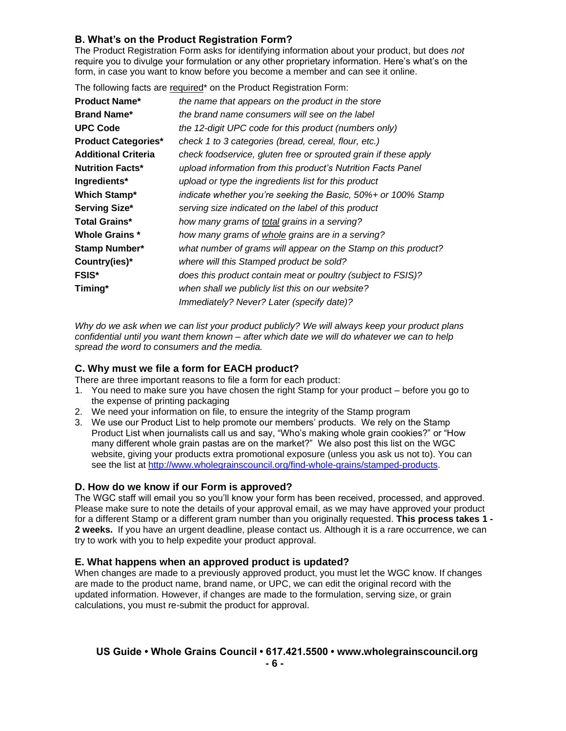## **B. What's on the Product Registration Form?**

The Product Registration Form asks for identifying information about your product, but does *not* require you to divulge your formulation or any other proprietary information. Here's what's on the form, in case you want to know before you become a member and can see it online.

The following facts are required\* on the Product Registration Form:

| <b>Product Name*</b>       | the name that appears on the product in the store               |
|----------------------------|-----------------------------------------------------------------|
| <b>Brand Name*</b>         | the brand name consumers will see on the label                  |
| <b>UPC Code</b>            | the 12-digit UPC code for this product (numbers only)           |
| <b>Product Categories*</b> | check 1 to 3 categories (bread, cereal, flour, etc.)            |
| <b>Additional Criteria</b> | check foodservice, gluten free or sprouted grain if these apply |
| <b>Nutrition Facts*</b>    | upload information from this product's Nutrition Facts Panel    |
| Ingredients*               | upload or type the ingredients list for this product            |
| <b>Which Stamp*</b>        | indicate whether you're seeking the Basic, 50%+ or 100% Stamp   |
| Serving Size*              | serving size indicated on the label of this product             |
| <b>Total Grains*</b>       | how many grams of total grains in a serving?                    |
| <b>Whole Grains *</b>      | how many grams of whole grains are in a serving?                |
| Stamp Number*              | what number of grams will appear on the Stamp on this product?  |
| Country(ies)*              | where will this Stamped product be sold?                        |
| <b>FSIS*</b>               | does this product contain meat or poultry (subject to FSIS)?    |
| Timing*                    | when shall we publicly list this on our website?                |
|                            | Immediately? Never? Later (specify date)?                       |
|                            |                                                                 |

*Why do we ask when we can list your product publicly? We will always keep your product plans confidential until you want them known – after which date we will do whatever we can to help spread the word to consumers and the media.*

### **C. Why must we file a form for EACH product?**

There are three important reasons to file a form for each product:

- 1. You need to make sure you have chosen the right Stamp for your product before you go to the expense of printing packaging
- 2. We need your information on file, to ensure the integrity of the Stamp program
- 3. We use our Product List to help promote our members' products. We rely on the Stamp Product List when journalists call us and say, "Who's making whole grain cookies?" or "How many different whole grain pastas are on the market?" We also post this list on the WGC website, giving your products extra promotional exposure (unless you ask us not to). You can see the list at [http://www.wholegrainscouncil.org/find-whole-grains/stamped-products.](http://www.wholegrainscouncil.org/find-whole-grains/stamped-products)

### **D. How do we know if our Form is approved?**

The WGC staff will email you so you'll know your form has been received, processed, and approved. Please make sure to note the details of your approval email, as we may have approved your product for a different Stamp or a different gram number than you originally requested. **This process takes 1 - 2 weeks.** If you have an urgent deadline, please contact us. Although it is a rare occurrence, we can try to work with you to help expedite your product approval.

### **E. What happens when an approved product is updated?**

When changes are made to a previously approved product, you must let the WGC know. If changes are made to the product name, brand name, or UPC, we can edit the original record with the updated information. However, if changes are made to the formulation, serving size, or grain calculations, you must re-submit the product for approval.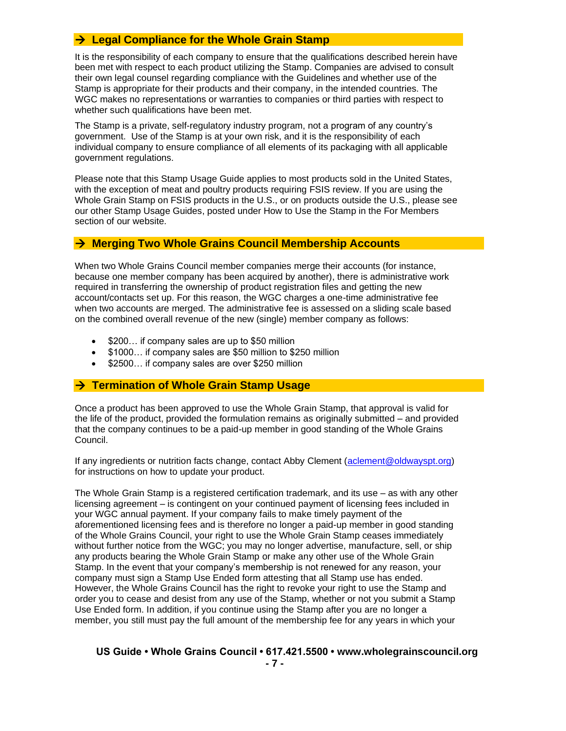## → **Legal Compliance for the Whole Grain Stamp**

It is the responsibility of each company to ensure that the qualifications described herein have been met with respect to each product utilizing the Stamp. Companies are advised to consult their own legal counsel regarding compliance with the Guidelines and whether use of the Stamp is appropriate for their products and their company, in the intended countries. The WGC makes no representations or warranties to companies or third parties with respect to whether such qualifications have been met.

The Stamp is a private, self-regulatory industry program, not a program of any country's government. Use of the Stamp is at your own risk, and it is the responsibility of each individual company to ensure compliance of all elements of its packaging with all applicable government regulations.

Please note that this Stamp Usage Guide applies to most products sold in the United States, with the exception of meat and poultry products requiring FSIS review. If you are using the Whole Grain Stamp on FSIS products in the U.S., or on products outside the U.S., please see our other Stamp Usage Guides, posted under How to Use the Stamp in the For Members section of our website.

### → **Merging Two Whole Grains Council Membership Accounts**

When two Whole Grains Council member companies merge their accounts (for instance, because one member company has been acquired by another), there is administrative work required in transferring the ownership of product registration files and getting the new account/contacts set up. For this reason, the WGC charges a one-time administrative fee when two accounts are merged. The administrative fee is assessed on a sliding scale based on the combined overall revenue of the new (single) member company as follows:

- \$200... if company sales are up to \$50 million
- \$1000… if company sales are \$50 million to \$250 million
- \$2500... if company sales are over \$250 million

### → **Termination of Whole Grain Stamp Usage**

Once a product has been approved to use the Whole Grain Stamp, that approval is valid for the life of the product, provided the formulation remains as originally submitted – and provided that the company continues to be a paid-up member in good standing of the Whole Grains Council.

If any ingredients or nutrition facts change, contact Abby Clement [\(aclement@oldwayspt.org\)](mailto:aclement@oldwayspt.org) for instructions on how to update your product.

The Whole Grain Stamp is a registered certification trademark, and its use – as with any other licensing agreement – is contingent on your continued payment of licensing fees included in your WGC annual payment. If your company fails to make timely payment of the aforementioned licensing fees and is therefore no longer a paid-up member in good standing of the Whole Grains Council, your right to use the Whole Grain Stamp ceases immediately without further notice from the WGC; you may no longer advertise, manufacture, sell, or ship any products bearing the Whole Grain Stamp or make any other use of the Whole Grain Stamp. In the event that your company's membership is not renewed for any reason, your company must sign a Stamp Use Ended form attesting that all Stamp use has ended. However, the Whole Grains Council has the right to revoke your right to use the Stamp and order you to cease and desist from any use of the Stamp, whether or not you submit a Stamp Use Ended form. In addition, if you continue using the Stamp after you are no longer a member, you still must pay the full amount of the membership fee for any years in which your